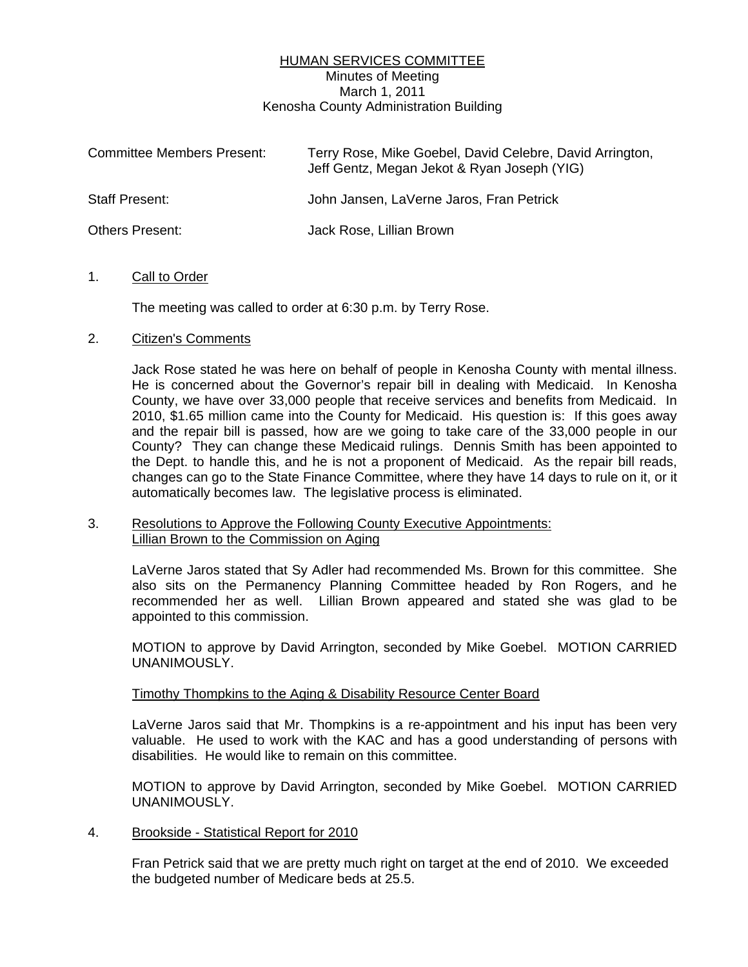# HUMAN SERVICES COMMITTEE Minutes of Meeting March 1, 2011 Kenosha County Administration Building

| <b>Committee Members Present:</b> | Terry Rose, Mike Goebel, David Celebre, David Arrington,<br>Jeff Gentz, Megan Jekot & Ryan Joseph (YIG) |
|-----------------------------------|---------------------------------------------------------------------------------------------------------|
| <b>Staff Present:</b>             | John Jansen, LaVerne Jaros, Fran Petrick                                                                |
| <b>Others Present:</b>            | Jack Rose, Lillian Brown                                                                                |

# 1. Call to Order

The meeting was called to order at 6:30 p.m. by Terry Rose.

# 2. Citizen's Comments

 Jack Rose stated he was here on behalf of people in Kenosha County with mental illness. He is concerned about the Governor's repair bill in dealing with Medicaid. In Kenosha County, we have over 33,000 people that receive services and benefits from Medicaid. In 2010, \$1.65 million came into the County for Medicaid. His question is: If this goes away and the repair bill is passed, how are we going to take care of the 33,000 people in our County? They can change these Medicaid rulings. Dennis Smith has been appointed to the Dept. to handle this, and he is not a proponent of Medicaid. As the repair bill reads, changes can go to the State Finance Committee, where they have 14 days to rule on it, or it automatically becomes law. The legislative process is eliminated.

# 3. Resolutions to Approve the Following County Executive Appointments: Lillian Brown to the Commission on Aging

 LaVerne Jaros stated that Sy Adler had recommended Ms. Brown for this committee. She also sits on the Permanency Planning Committee headed by Ron Rogers, and he recommended her as well. Lillian Brown appeared and stated she was glad to be appointed to this commission.

 MOTION to approve by David Arrington, seconded by Mike Goebel. MOTION CARRIED UNANIMOUSLY.

#### Timothy Thompkins to the Aging & Disability Resource Center Board

 LaVerne Jaros said that Mr. Thompkins is a re-appointment and his input has been very valuable. He used to work with the KAC and has a good understanding of persons with disabilities. He would like to remain on this committee.

 MOTION to approve by David Arrington, seconded by Mike Goebel. MOTION CARRIED UNANIMOUSLY.

#### 4. Brookside - Statistical Report for 2010

 Fran Petrick said that we are pretty much right on target at the end of 2010. We exceeded the budgeted number of Medicare beds at 25.5.